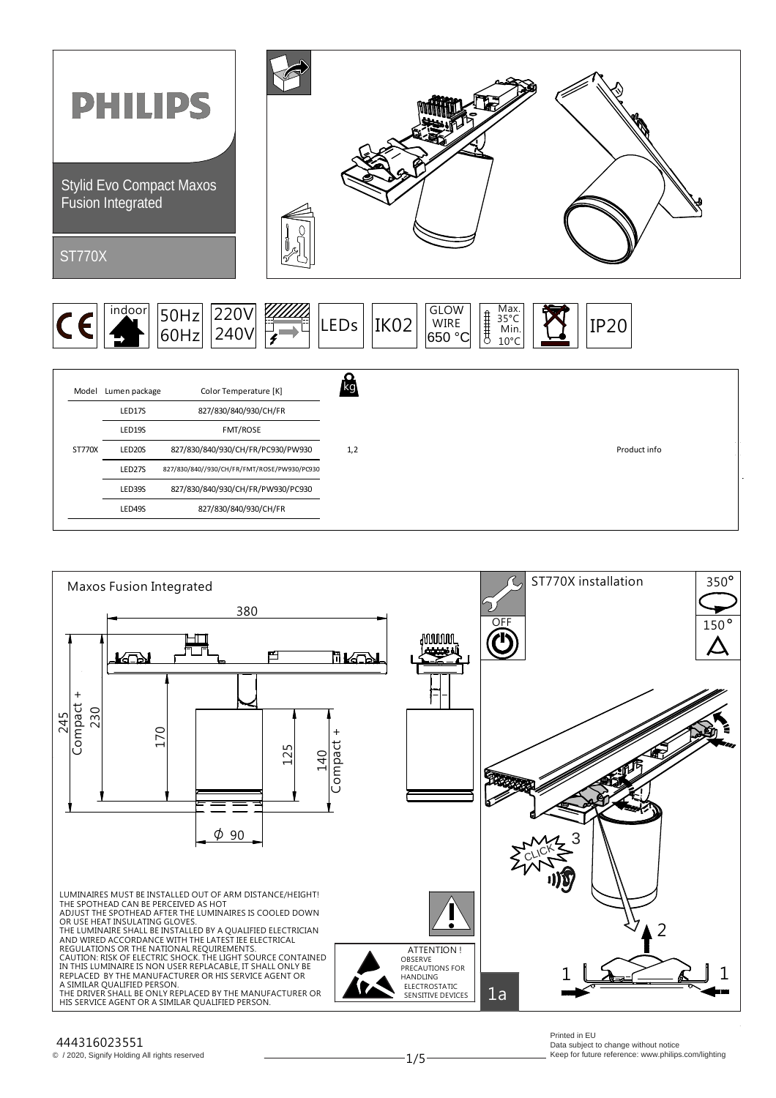



## 444316023551

© / 2020, Signify Holding All rights reserved

1/5

Printed in EU Data subject to change without notice Keep for future reference: www.philips.com/lighting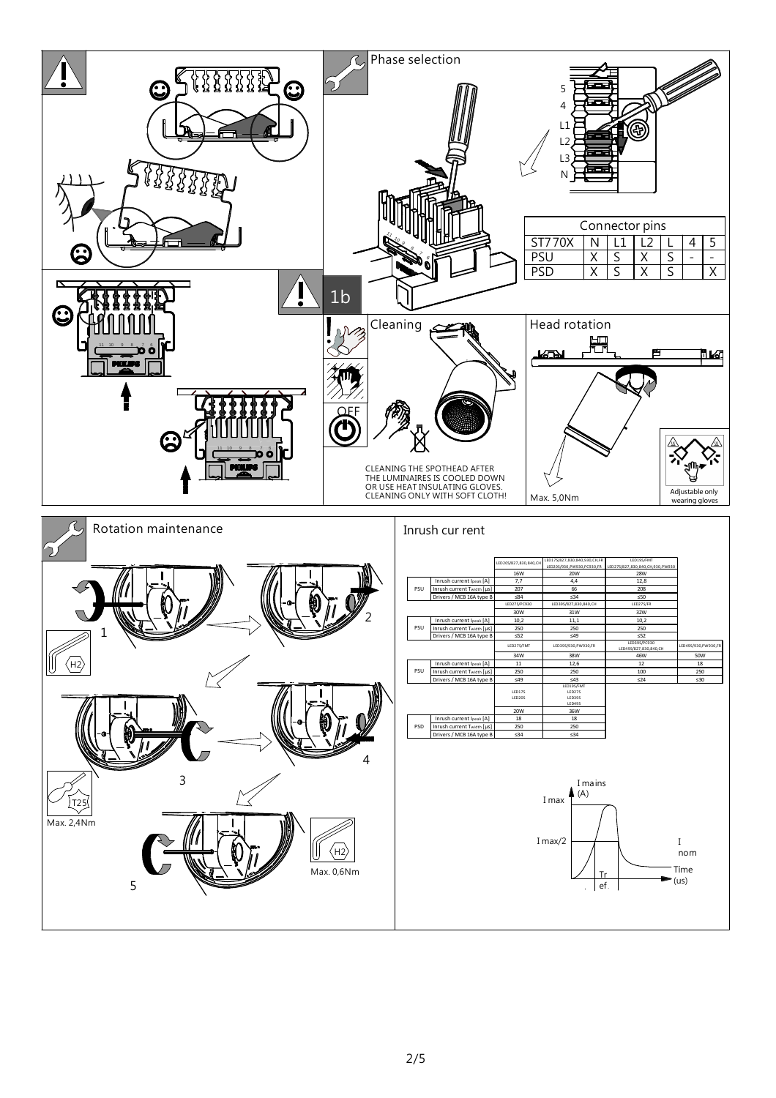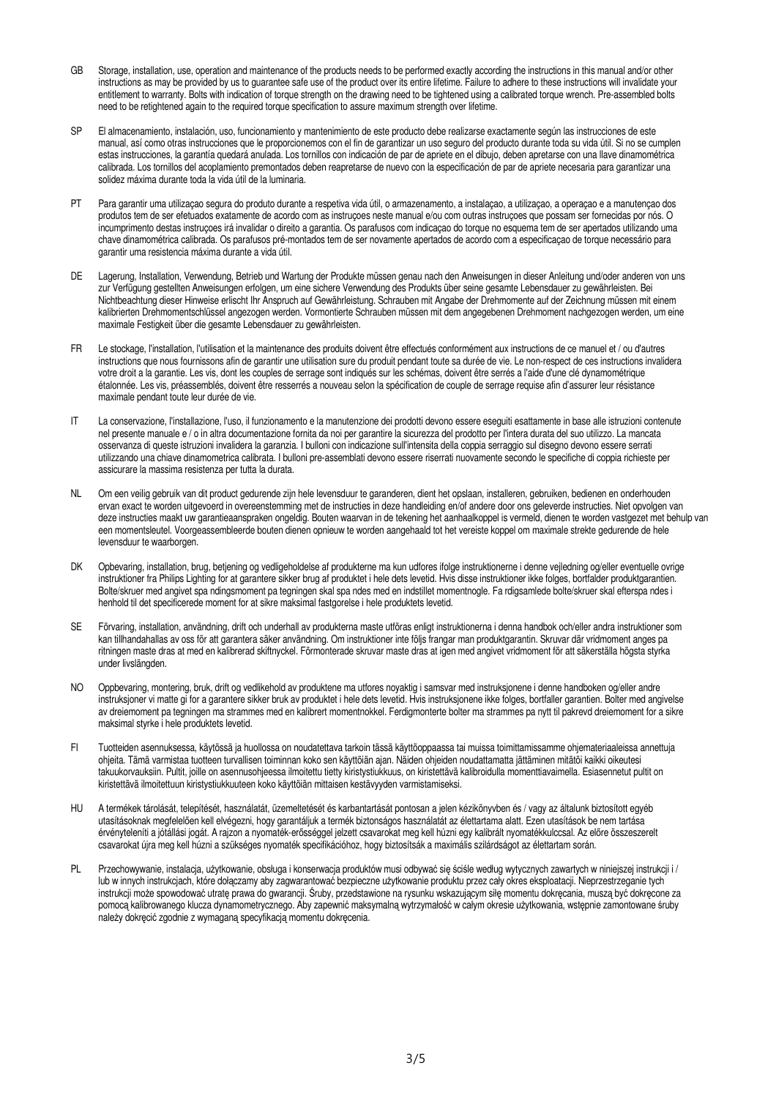- GB Storage, installation, use, operation and maintenance of the products needs to be performed exactly according the instructions in this manual and/or other instructions as may be provided by us to guarantee safe use of the product over its entire lifetime. Failure to adhere to these instructions will invalidate your entitlement to warranty. Bolts with indication of torque strength on the drawing need to be tightened using a calibrated torque wrench. Pre-assembled bolts need to be retightened again to the required torque specification to assure maximum strength over lifetime.
- SP El almacenamiento, instalación, uso, funcionamiento y mantenimiento de este producto debe realizarse exactamente según las instrucciones de este manual, así como otras instrucciones que le proporcionemos con el fin de garantizar un uso seguro del producto durante toda su vida útil. Si no se cumplen estas instrucciones, la garantía quedará anulada. Los tornillos con indicación de par de apriete en el dibujo, deben apretarse con una llave dinamométrica calibrada. Los tornillos del acoplamiento premontados deben reapretarse de nuevo con la especificación de par de apriete necesaria para garantizar una solidez máxima durante toda la vida útil de la luminaria.
- PT Para garantir uma utilizaçao segura do produto durante a respetiva vida útil, o armazenamento, a instalaçao, a utilizaçao, a operaçao e a manutençao dos produtos tem de ser efetuados exatamente de acordo com as instruçoes neste manual e/ou com outras instruçoes que possam ser fornecidas por nós. O incumprimento destas instruçoes irá invalidar o direito a garantia. Os parafusos com indicaçao do torque no esquema tem de ser apertados utilizando uma chave dinamométrica calibrada. Os parafusos pré-montados tem de ser novamente apertados de acordo com a especificaçao de torque necessário para garantir uma resistencia máxima durante a vida útil.
- DE Lagerung, Installation, Verwendung, Betrieb und Wartung der Produkte müssen genau nach den Anweisungen in dieser Anleitung und/oder anderen von uns zur Verfügung gestellten Anweisungen erfolgen, um eine sichere Verwendung des Produkts über seine gesamte Lebensdauer zu gewährleisten. Bei Nichtbeachtung dieser Hinweise erlischt Ihr Anspruch auf Gewährleistung. Schrauben mit Angabe der Drehmomente auf der Zeichnung müssen mit einem kalibrierten Drehmomentschlüssel angezogen werden. Vormontierte Schrauben müssen mit dem angegebenen Drehmoment nachgezogen werden, um eine maximale Festigkeit über die gesamte Lebensdauer zu gewährleisten.
- FR Le stockage, l'installation, l'utilisation et la maintenance des produits doivent être effectués conformément aux instructions de ce manuel et / ou d'autres instructions que nous fournissons afin de garantir une utilisation sure du produit pendant toute sa durée de vie. Le non-respect de ces instructions invalidera votre droit a la garantie. Les vis, dont les couples de serrage sont indiqués sur les schémas, doivent être serrés a l'aide d'une clé dynamométrique étalonnée. Les vis, préassemblés, doivent être resserrés a nouveau selon la spécification de couple de serrage requise afin d'assurer leur résistance maximale pendant toute leur durée de vie.
- IT La conservazione, l'installazione, l'uso, il funzionamento e la manutenzione dei prodotti devono essere eseguiti esattamente in base alle istruzioni contenute nel presente manuale e / o in altra documentazione fornita da noi per garantire la sicurezza del prodotto per l'intera durata del suo utilizzo. La mancata osservanza di queste istruzioni invalidera la garanzia. I bulloni con indicazione sull'intensita della coppia serraggio sul disegno devono essere serrati utilizzando una chiave dinamometrica calibrata. I bulloni pre-assemblati devono essere riserrati nuovamente secondo le specifiche di coppia richieste per assicurare la massima resistenza per tutta la durata.
- NL Om een veilig gebruik van dit product gedurende zijn hele levensduur te garanderen, dient het opslaan, installeren, gebruiken, bedienen en onderhouden ervan exact te worden uitgevoerd in overeenstemming met de instructies in deze handleiding en/of andere door ons geleverde instructies. Niet opvolgen van deze instructies maakt uw garantieaanspraken ongeldig. Bouten waarvan in de tekening het aanhaalkoppel is vermeld, dienen te worden vastgezet met behulp van een momentsleutel. Voorgeassembleerde bouten dienen opnieuw te worden aangehaald tot het vereiste koppel om maximale strekte gedurende de hele levensduur te waarborgen.
- DK Opbevaring, installation, brug, betjening og vedligeholdelse af produkterne ma kun udfores ifolge instruktionerne i denne vejledning og/eller eventuelle ovrige instruktioner fra Philips Lighting for at garantere sikker brug af produktet i hele dets levetid. Hvis disse instruktioner ikke folges, bortfalder produktgarantien. Bolte/skruer med angivet spa ndingsmoment pa tegningen skal spa ndes med en indstillet momentnogle. Fa rdigsamlede bolte/skruer skal efterspa ndes i henhold til det specificerede moment for at sikre maksimal fastgorelse i hele produktets levetid.
- SE Förvaring, installation, användning, drift och underhall av produkterna maste utföras enligt instruktionerna i denna handbok och/eller andra instruktioner som kan tillhandahallas av oss för att garantera säker användning. Om instruktioner inte följs frangar man produktgarantin. Skruvar där vridmoment anges pa ritningen maste dras at med en kalibrerad skiftnyckel. Förmonterade skruvar maste dras at igen med angivet vridmoment för att säkerställa högsta styrka under livslängden.
- NO Oppbevaring, montering, bruk, drift og vedlikehold av produktene ma utfores noyaktig i samsvar med instruksjonene i denne handboken og/eller andre instruksjoner vi matte gi for a garantere sikker bruk av produktet i hele dets levetid. Hvis instruksjonene ikke folges, bortfaller garantien. Bolter med angivelse av dreiemoment pa tegningen ma strammes med en kalibrert momentnokkel. Ferdigmonterte bolter ma strammes pa nytt til pakrevd dreiemoment for a sikre maksimal styrke i hele produktets levetid.
- FI Tuotteiden asennuksessa, käytössä ja huollossa on noudatettava tarkoin tässä käyttöoppaassa tai muissa toimittamissamme ohjemateriaaleissa annettuja ohjeita. Tämä varmistaa tuotteen turvallisen toiminnan koko sen käyttöiän ajan. Näiden ohjeiden noudattamatta jättäminen mitätöi kaikki oikeutesi takuukorvauksiin. Pultit, joille on asennusohjeessa ilmoitettu tietty kiristystiukkuus, on kiristettävä kalibroidulla momenttiavaimella. Esiasennetut pultit on kiristettävä ilmoitettuun kiristystiukkuuteen koko käyttöiän mittaisen kestävyyden varmistamiseksi.
- HU A termékek tárolását, telepítését, használatát, üzemeltetését és karbantartását pontosan a jelen kézikönyvben és / vagy az általunk biztosított egyéb utasításoknak megfelelően kell elvégezni, hogy garantáljuk a termék biztonságos használatát az élettartama alatt. Ezen utasítások be nem tartása érvényteleníti a jótállási jogát. A rajzon a nyomaték-erősséggel jelzett csavarokat meg kell húzni egy kalibrált nyomatékkulccsal. Az előre összeszerelt csavarokat újra meg kell húzni a szükséges nyomaték specifikációhoz, hogy biztosítsák a maximális szilárdságot az élettartam során.
- PL Przechowywanie, instalacja, użytkowanie, obsługa i konserwacja produktów musi odbywać się ściśle według wytycznych zawartych w niniejszej instrukcji i / lub w innych instrukcjach, które dołączamy aby zagwarantować bezpieczne użytkowanie produktu przez cały okres eksploatacji. Nieprzestrzeganie tych instrukcji może spowodować utratę prawa do gwarancji. Śruby, przedstawione na rysunku wskazującym siłę momentu dokręcania, muszą być dokręcone za pomocą kalibrowanego klucza dynamometrycznego. Aby zapewnić maksymalną wytrzymałość w całym okresie użytkowania, wstępnie zamontowane śruby należy dokręcić zgodnie z wymaganą specyfikacją momentu dokręcenia.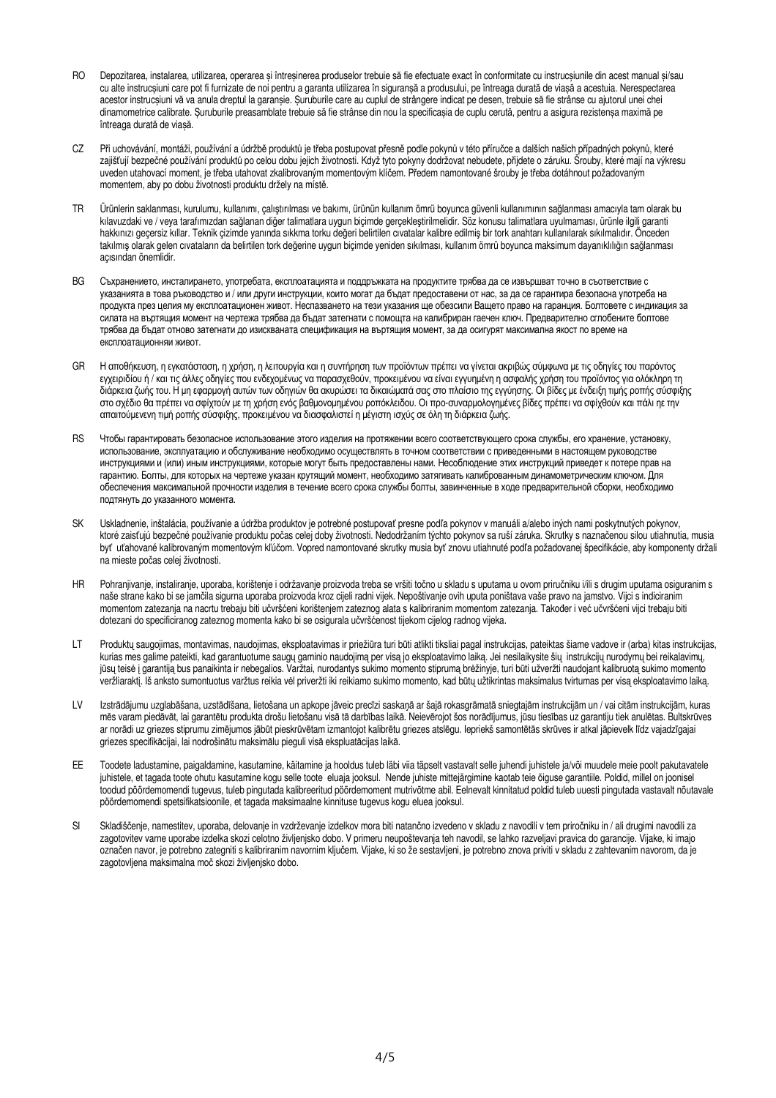- RO Depozitarea, instalarea, utilizarea, operarea și întreșinerea produselor trebuie să fie efectuate exact în conformitate cu instrucșiunile din acest manual și/sau cu alte instrucșiuni care pot fi furnizate de noi pentru a garanta utilizarea în siguranșă a produsului, pe întreaga durată de viașă a acestuia. Nerespectarea acestor instrucșiuni vă va anula dreptul la garanșie. Șuruburile care au cuplul de strângere indicat pe desen, trebuie să fie strânse cu ajutorul unei chei dinamometrice calibrate. Șuruburile preasamblate trebuie să fie strânse din nou la specificașia de cuplu cerută, pentru a asigura rezistenșa maximă pe întreaga durată de viașă.
- CZ Při uchovávání, montáži, používání a údržbě produktů je třeba postupovat přesně podle pokynů v této příručce a dalších našich případných pokynů, které zajišťují bezpečné používání produktů po celou dobu jejich životnosti. Když tyto pokyny dodržovat nebudete, přijdete o záruku. Šrouby, které mají na výkresu uveden utahovací moment, je třeba utahovat zkalibrovaným momentovým klíčem. Předem namontované šrouby je třeba dotáhnout požadovaným momentem, aby po dobu životnosti produktu držely na místě.
- TR Ürünlerin saklanması, kurulumu, kullanımı, çalıştırılması ve bakımı, ürünün kullanım ömrü boyunca güvenli kullanımının sağlanması amacıyla tam olarak bu kılavuzdaki ve / veya tarafımızdan sağlanan diğer talimatlara uygun biçimde gerçekleştirilmelidir. Söz konusu talimatlara uyulmaması, ürünle ilgili garanti hakkınızı geçersiz kıllar. Teknik çizimde yanında sıkkma torku değeri belirtilen cıvatalar kalibre edilmiş bir tork anahtarı kullanılarak sıkılmalıdır. Önceden takılmış olarak gelen cıvataların da belirtilen tork değerine uygun biçimde yeniden sıkılması, kullanım ömrü boyunca maksimum dayanıklılığın sağlanması açısından önemlidir.
- BG Съхранeнието, инсталирането, yпoтpeбaтa, експлоатацията и поддръжката на продуктите трябва да се извършват точно в съответствие с yкaзaнията в това ръководство и / или други инструкции, които могат да бъдат предоставени от нас, за да ce гарантира безопаснa yпoтpeбa на продукта през целия му експлоатационен живот. Hecпaзвaнeтo на тези yкaзaния ще обезсили Baщетo право на гаранция. Болтовете с индикация за силата на въртящия момент на чертежа трябва да бъдат затегнати с помощта на калибриран гаечен ключ. Предварително сглобените болтове трябва да бъдат отново затегнати дo изиcквaнатa спецификация на въртящия момент, за да осигурят максимална якoст по врeмe на eкcплoaтaциoнняи живот.
- GR Η αποθήκευση, η εγκατάσταση, η χρήση, η λειτουργία και η συντήρηση των προϊόντων πρέπει να γίνεται ακριβώς σύµφωνα µε τις οδηγίες του παρόντος εγχειριδίου ή / και τις άλλες οδηγίες που ενδεχοµένως να παρασχεθούν, προκειµένου να είναι εγγυηµένη η ασφαλής χρήση του προϊόντος για ολόκληρη τη διάρκεια ζωής του. Η µη εφαρµογή αυτών των οδηγιών θα ακυρώσει τα δικαιώµατά σας στο πλαίσιο της εγγύησης. Οι βίδες µε ένδειξη τιµής ροπής σύσφιξης στο σχέδιο θα πρέπει να σφίχτούν µε τη χρήση ενός βαθµονοµηµένου ροπόκλειδου. Οι προ-συναρµολογηµένες βίδες πρέπει να σφίχθούν και πάλι ηε τηv απαιτούµενεvη τιµή ροπής σύσφιξης, προκειµένου να διασφαλιστεί η µέγιστη ισχύς σε όλη τη διάρκεια ζωής.
- RS Чтобы гарантировать безопасное использование этого изделия на протяжении всего соответствующего срока службы, его хранение, установку, использование, эксплуатацию и обслуживание необходимо осуществлять в точном соответствии с приведенными в настоящем руководстве инструкциями и (или) иным инструкциями, которые могут быть предоставлены нами. Несоблюдение этих инструкций приведет к потере прав на гарантию. Болты, для которых на чертеже указан крутящий момент, необходимо затягивать калиброванным динамометрическим ключом. Для обеспечения максимальной прочности изделия в течение всего срока службы болты, завинченные в ходе предварительной сборки, необходимо подтянуть до указанного момента.
- SK Uskladnenie, inštalácia, používanie a údržba produktov je potrebné postupovať presne podľa pokynov v manuáli a/alebo iných nami poskytnutých pokynov, ktoré zaisťujú bezpečné používanie produktu počas celej doby životnosti. Nedodržaním týchto pokynov sa ruší záruka. Skrutky s naznačenou silou utiahnutia, musia byť uťahované kalibrovaným momentovým kľúčom. Vopred namontované skrutky musia byť znovu utiahnuté podľa požadovanej špecifikácie, aby komponenty držali na mieste počas celej životnosti.
- HR Pohranjivanje, instaliranje, uporaba, korištenje i održavanje proizvoda treba se vršiti točno u skladu s uputama u ovom priručniku i/ili s drugim uputama osiguranim s naše strane kako bi se jamčila sigurna uporaba proizvoda kroz cijeli radni vijek. Nepoštivanje ovih uputa poništava vaše pravo na jamstvo. Vijci s indiciranim momentom zatezanja na nacrtu trebaju biti učvršćeni korištenjem zateznog alata s kalibriranim momentom zatezanja. Također i već učvršćeni vijci trebaju biti dotezani do specificiranog zateznog momenta kako bi se osigurala učvršćenost tijekom cijelog radnog vijeka.
- LT Produktų saugojimas, montavimas, naudojimas, eksploatavimas ir priežiūra turi būti atlikti tiksliai pagal instrukcijas, pateiktas šiame vadove ir (arba) kitas instrukcijas, kurias mes galime pateikti, kad garantuotume saugų gaminio naudojimą per visą jo eksploatavimo laiką. Jei nesilaikysite šių instrukcijų nurodymų bei reikalavimų, jūsų teisė į garantiją bus panaikinta ir nebegalios. Varžtai, nurodantys sukimo momento stiprumą brėžinyje, turi būti užveržti naudojant kalibruotą sukimo momento veržliaraktį. Iš anksto sumontuotus varžtus reikia vėl priveržti iki reikiamo sukimo momento, kad būtų užtikrintas maksimalus tvirtumas per visą eksploatavimo laiką.
- LV Izstrādājumu uzglabāšana, uzstādīšana, lietošana un apkope jāveic precīzi saskaņā ar šajā rokasgrāmatā sniegtajām instrukcijām un / vai citām instrukcijām, kuras mēs varam piedāvāt, lai garantētu produkta drošu lietošanu visā tā darbības laikā. Neievērojot šos norādījumus, jūsu tiesības uz garantiju tiek anulētas. Bultskrūves ar norādi uz griezes stiprumu zimējumos jābūt pieskrūvētam izmantojot kalibrētu griezes atslēgu. Iepriekš samontētās skrūves ir atkal jāpievelk līdz vajadzīgajai griezes specifikācijai, lai nodrošinātu maksimālu pieguli visā ekspluatācijas laikā.
- EE Toodete ladustamine, paigaldamine, kasutamine, käitamine ja hooldus tuleb läbi viia täpselt vastavalt selle juhendi juhistele ja/või muudele meie poolt pakutavatele juhistele, et tagada toote ohutu kasutamine kogu selle toote eluaja jooksul. Nende juhiste mittejärgimine kaotab teie õiguse garantiile. Poldid, millel on joonisel toodud pöördemomendi tugevus, tuleb pingutada kalibreeritud pöördemoment mutrivõtme abil. Eelnevalt kinnitatud poldid tuleb uuesti pingutada vastavalt nõutavale pöördemomendi spetsifikatsioonile, et tagada maksimaalne kinnituse tugevus kogu eluea jooksul.
- SI Skladiščenje, namestitev, uporaba, delovanje in vzdrževanje izdelkov mora biti natančno izvedeno v skladu z navodili v tem priročniku in / ali drugimi navodili za zagotovitev varne uporabe izdelka skozi celotno življenjsko dobo. V primeru neupoštevanja teh navodil, se lahko razveljavi pravica do garancije. Vijake, ki imajo označen navor, je potrebno zategniti s kalibriranim navornim ključem. Vijake, ki so že sestavljeni, je potrebno znova priviti v skladu z zahtevanim navorom, da je zagotovljena maksimalna moč skozi življenjsko dobo.